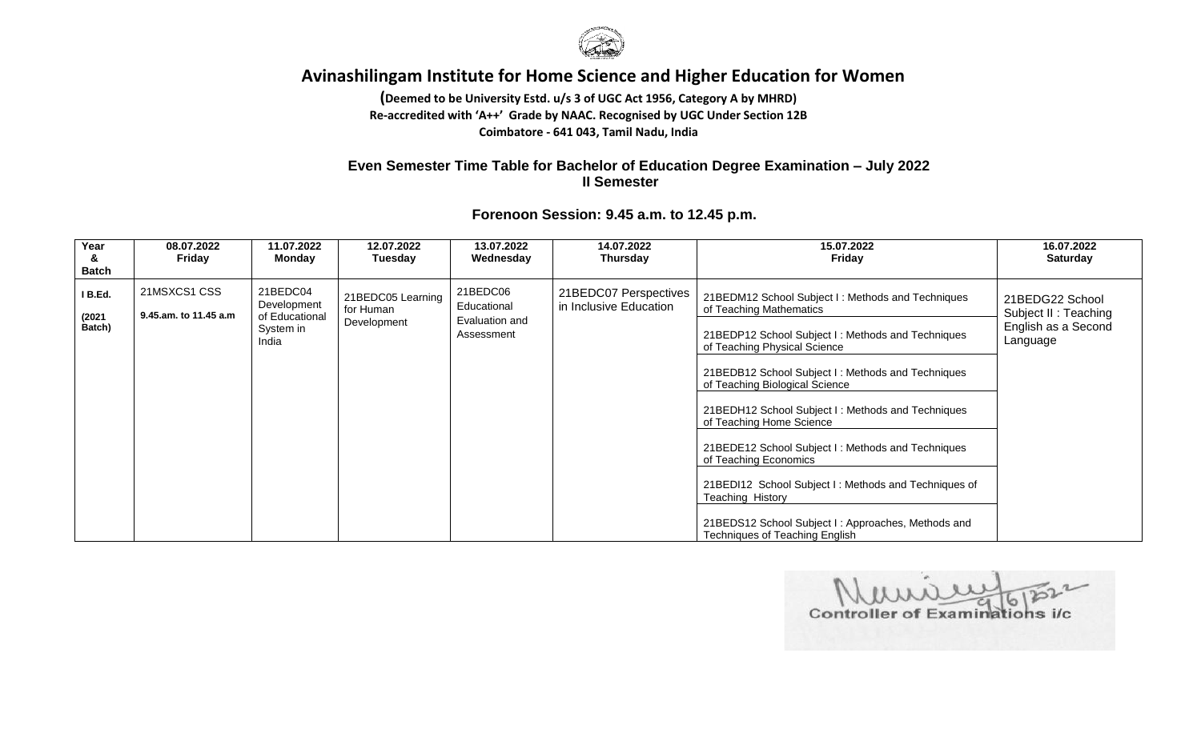

**(Deemed to be University Estd. u/s 3 of UGC Act 1956, Category A by MHRD) Re-accredited with 'A++' Grade by NAAC. Recognised by UGC Under Section 12B Coimbatore - 641 043, Tamil Nadu, India**

## **Even Semester Time Table for Bachelor of Education Degree Examination – July 2022 II Semester**

| Year<br>&<br><b>Batch</b>   | 08.07.2022<br>Friday                  | 11.07.2022<br>Mondav                                            | 12.07.2022<br>Tuesday                         | 13.07.2022<br>Wednesday                                 | 14.07.2022<br><b>Thursday</b>                   | 15.07.2022<br>Friday                                                                                                                                                                                                                                                                                                                                                                                                                                                                                                                                                                        | 16.07.2022<br><b>Saturday</b>                                              |
|-----------------------------|---------------------------------------|-----------------------------------------------------------------|-----------------------------------------------|---------------------------------------------------------|-------------------------------------------------|---------------------------------------------------------------------------------------------------------------------------------------------------------------------------------------------------------------------------------------------------------------------------------------------------------------------------------------------------------------------------------------------------------------------------------------------------------------------------------------------------------------------------------------------------------------------------------------------|----------------------------------------------------------------------------|
| I B.Ed.<br>(2021)<br>Batch) | 21MSXCS1 CSS<br>9.45.am. to 11.45 a.m | 21BEDC04<br>Development<br>of Educational<br>System in<br>India | 21BEDC05 Learning<br>for Human<br>Development | 21BEDC06<br>Educational<br>Evaluation and<br>Assessment | 21BEDC07 Perspectives<br>in Inclusive Education | 21BEDM12 School Subject I: Methods and Techniques<br>of Teaching Mathematics<br>21BEDP12 School Subject I: Methods and Techniques<br>of Teaching Physical Science<br>21BEDB12 School Subject I: Methods and Techniques<br>of Teaching Biological Science<br>21BEDH12 School Subject I: Methods and Techniques<br>of Teaching Home Science<br>21BEDE12 School Subject I: Methods and Techniques<br>of Teaching Economics<br>21BEDI12 School Subject I: Methods and Techniques of<br>Teaching History<br>21BEDS12 School Subject I: Approaches, Methods and<br>Techniques of Teaching English | 21BEDG22 School<br>Subject II: Teaching<br>English as a Second<br>Language |

Controller of Examinations i/c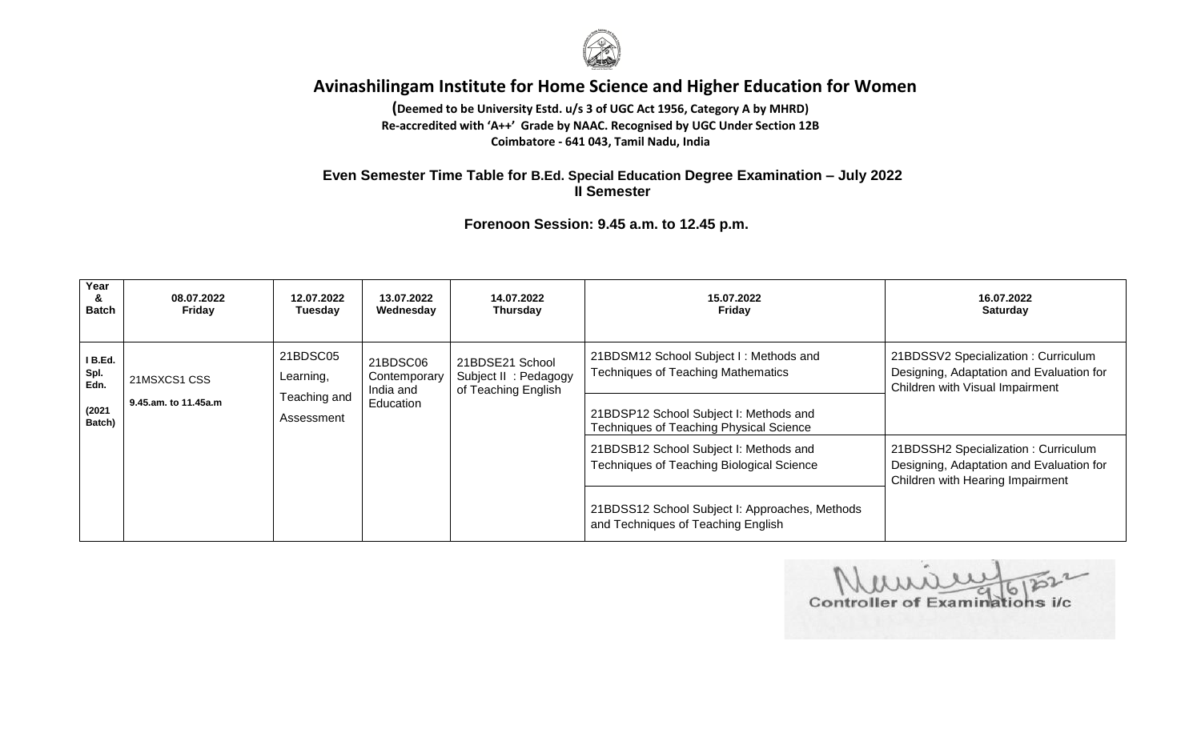

**(Deemed to be University Estd. u/s 3 of UGC Act 1956, Category A by MHRD) Re-accredited with 'A++' Grade by NAAC. Recognised by UGC Under Section 12B Coimbatore - 641 043, Tamil Nadu, India**

#### **Even Semester Time Table for B.Ed. Special Education Degree Examination – July 2022 II Semester**

| Year<br>&<br><b>Batch</b>                   | 08.07.2022<br>Friday                 | 12.07.2022<br>Tuesday                                                                                     | 13.07.2022<br>Wednesday | 14.07.2022<br>Thursday                                          | 15.07.2022<br>Friday                                                                                                                                                            | 16.07.2022<br><b>Saturday</b>                                                                                       |
|---------------------------------------------|--------------------------------------|-----------------------------------------------------------------------------------------------------------|-------------------------|-----------------------------------------------------------------|---------------------------------------------------------------------------------------------------------------------------------------------------------------------------------|---------------------------------------------------------------------------------------------------------------------|
| I B.Ed.<br>Spl.<br>Edn.<br>(2021)<br>Batch) | 21MSXCS1 CSS<br>9.45.am. to 11.45a.m | 21BDSC05<br>21BDSC06<br>Contemporary<br>Learning,<br>India and<br>Teaching and<br>Education<br>Assessment |                         | 21BDSE21 School<br>Subject II : Pedagogy<br>of Teaching English | 21BDSM12 School Subject I: Methods and<br><b>Techniques of Teaching Mathematics</b><br>21BDSP12 School Subject I: Methods and<br><b>Techniques of Teaching Physical Science</b> | 21BDSSV2 Specialization: Curriculum<br>Designing, Adaptation and Evaluation for<br>Children with Visual Impairment  |
|                                             |                                      |                                                                                                           |                         |                                                                 | 21BDSB12 School Subject I: Methods and<br>Techniques of Teaching Biological Science<br>21BDSS12 School Subject I: Approaches, Methods<br>and Techniques of Teaching English     | 21BDSSH2 Specialization: Curriculum<br>Designing, Adaptation and Evaluation for<br>Children with Hearing Impairment |

**Controller of Examinations i/c**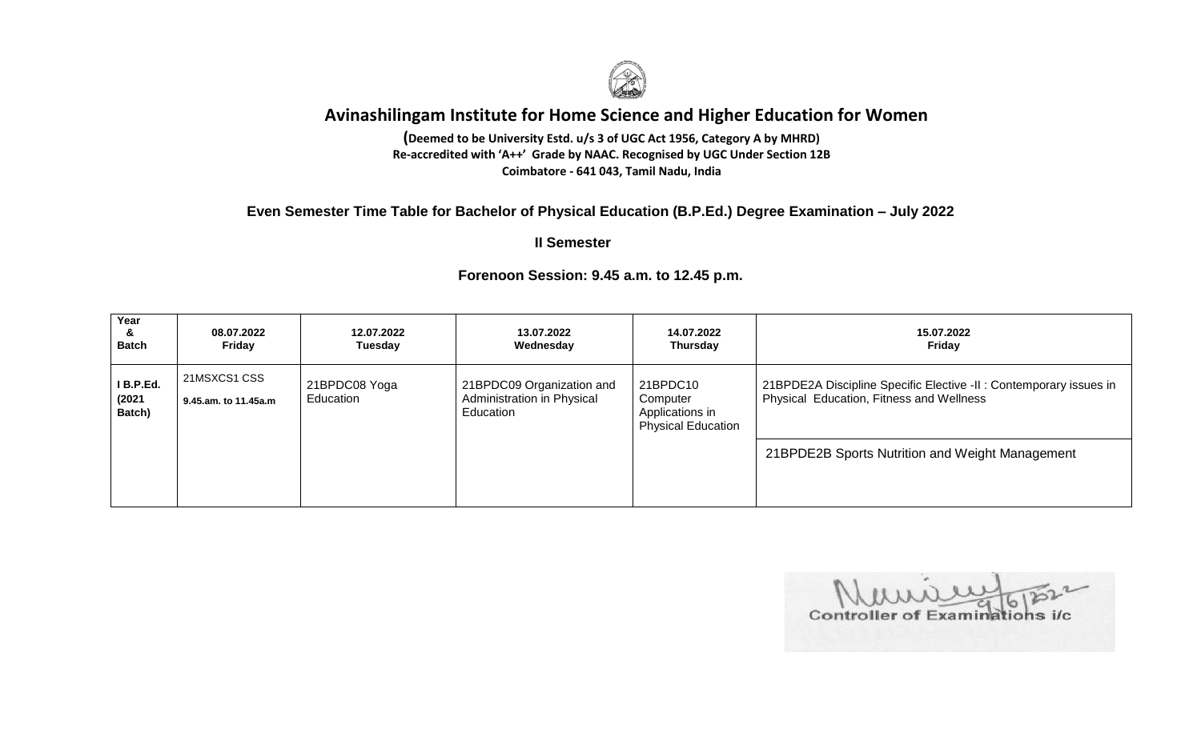

 **Coimbatore - 641 043, Tamil Nadu, India(Deemed to be University Estd. u/s 3 of UGC Act 1956, Category A by MHRD) Re-accredited with 'A++' Grade by NAAC. Recognised by UGC Under Section 12B**

### **Even Semester Time Table for Bachelor of Physical Education (B.P.Ed.) Degree Examination – July 2022**

 **II Semester**

#### **Year & Batch 08.07.2022 Friday 12.07.2022 Tuesday 13.07.2022 Wednesday 14.07.2022 Thursday 15.07.2022 Friday I B.P.Ed. (2021 Batch)** 21MSXCS1 CSS **9.45.am. to 11.45a.m** 21BPDC08 Yoga Education 21BPDC09 Organization and Administration in Physical **Education** 21BPDC10 **Computer** Applications in Physical Education 21BPDE2A Discipline Specific Elective -II : Contemporary issues in Physical Education, Fitness and Wellness 21BPDE2B Sports Nutrition and Weight Management

Controller of Examinations i/c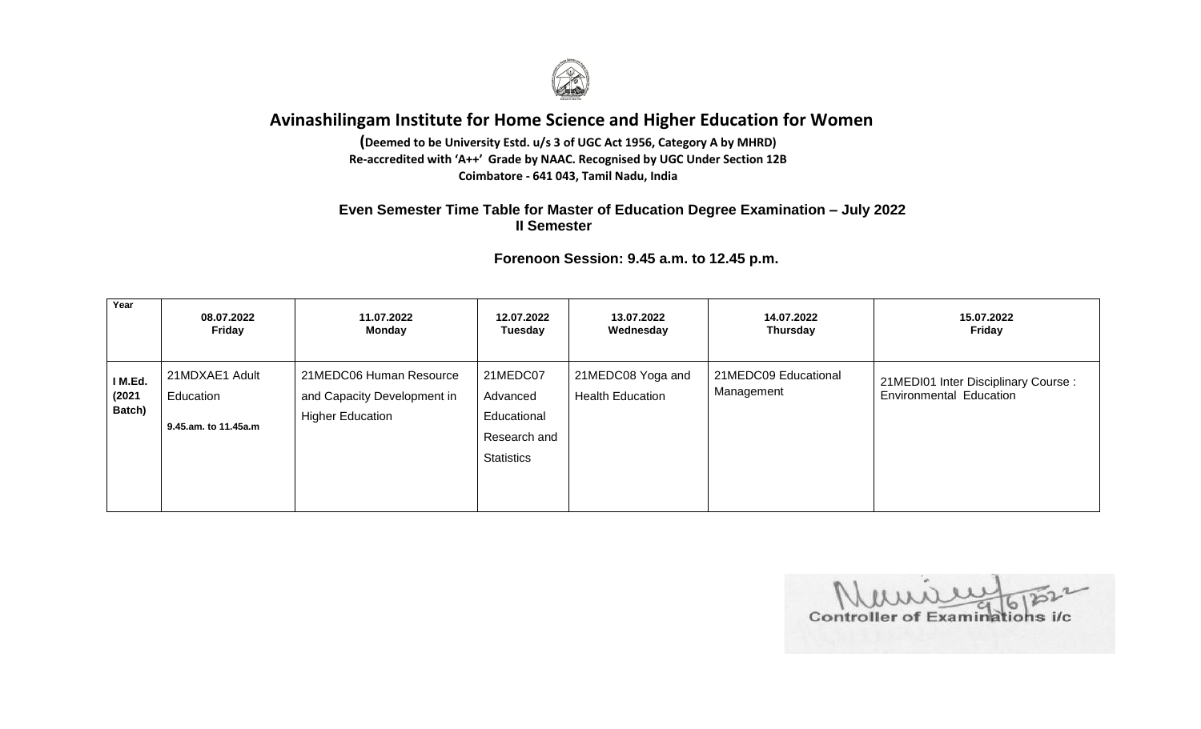

**(Deemed to be University Estd. u/s 3 of UGC Act 1956, Category A by MHRD) Re-accredited with 'A++' Grade by NAAC. Recognised by UGC Under Section 12B Coimbatore - 641 043, Tamil Nadu, India**

## **Even Semester Time Table for Master of Education Degree Examination – July 2022 II Semester**

| Year                        | 08.07.2022                                          | 11.07.2022                                                                        | 12.07.2022                                                               | 13.07.2022                                   | 14.07.2022                         | 15.07.2022                                                     |
|-----------------------------|-----------------------------------------------------|-----------------------------------------------------------------------------------|--------------------------------------------------------------------------|----------------------------------------------|------------------------------------|----------------------------------------------------------------|
|                             | Friday                                              | <b>Monday</b>                                                                     | Tuesday                                                                  | Wednesday                                    | Thursday                           | Friday                                                         |
| I M.Ed.<br>(2021)<br>Batch) | 21MDXAE1 Adult<br>Education<br>9.45.am. to 11.45a.m | 21MEDC06 Human Resource<br>and Capacity Development in<br><b>Higher Education</b> | 21MEDC07<br>Advanced<br>Educational<br>Research and<br><b>Statistics</b> | 21MEDC08 Yoga and<br><b>Health Education</b> | 21MEDC09 Educational<br>Management | 21MEDI01 Inter Disciplinary Course:<br>Environmental Education |

Controller of Examinations i/c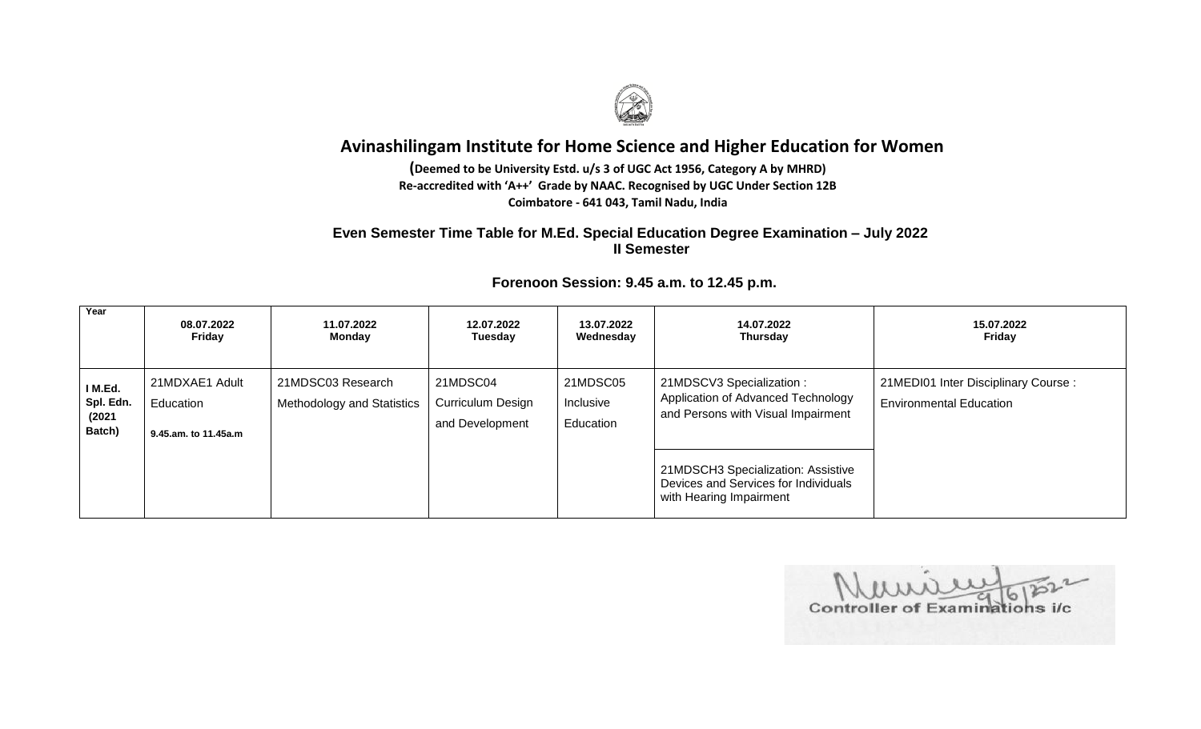

**(Deemed to be University Estd. u/s 3 of UGC Act 1956, Category A by MHRD) Re-accredited with 'A++' Grade by NAAC. Recognised by UGC Under Section 12B Coimbatore - 641 043, Tamil Nadu, India**

## **Even Semester Time Table for M.Ed. Special Education Degree Examination – July 2022 II Semester**

| Year                                    | 08.07.2022<br>Friday                                | 11.07.2022<br>Monday                            | 12.07.2022<br>Tuesday                            | 13.07.2022<br>Wednesday            | 14.07.2022<br>Thursday                                                                                | 15.07.2022<br>Friday                                                  |
|-----------------------------------------|-----------------------------------------------------|-------------------------------------------------|--------------------------------------------------|------------------------------------|-------------------------------------------------------------------------------------------------------|-----------------------------------------------------------------------|
| I M.Ed.<br>Spl. Edn.<br>(2021<br>Batch) | 21MDXAE1 Adult<br>Education<br>9.45.am. to 11.45a.m | 21MDSC03 Research<br>Methodology and Statistics | 21MDSC04<br>Curriculum Design<br>and Development | 21MDSC05<br>Inclusive<br>Education | 21MDSCV3 Specialization :<br>Application of Advanced Technology<br>and Persons with Visual Impairment | 21MEDI01 Inter Disciplinary Course:<br><b>Environmental Education</b> |
|                                         |                                                     |                                                 |                                                  |                                    | 21MDSCH3 Specialization: Assistive<br>Devices and Services for Individuals<br>with Hearing Impairment |                                                                       |

Controller of Examinations i/c